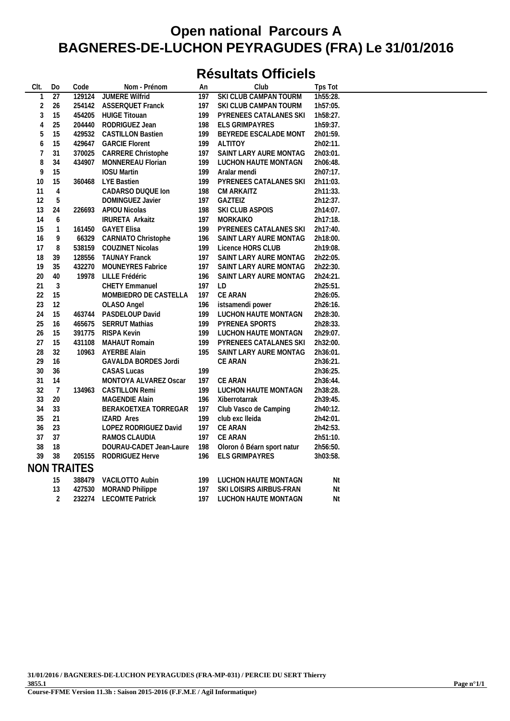### **Résultats Officiels**

| CIt.           | Do              | Code               | Nom - Prénom             | An  | Club                       | Tps Tot  |  |
|----------------|-----------------|--------------------|--------------------------|-----|----------------------------|----------|--|
| $\mathbf{1}$   | $\overline{27}$ | 129124             | <b>JUMERE Wilfrid</b>    | 197 | SKI CLUB CAMPAN TOURM      | 1h55:28. |  |
| $\sqrt{2}$     | 26              |                    | 254142 ASSERQUET Franck  | 197 | SKI CLUB CAMPAN TOURM      | 1h57:05. |  |
| 3              | 15              | 454205             | <b>HUIGE Titouan</b>     | 199 | PYRENEES CATALANES SKI     | 1h58:27. |  |
| 4              | 25              | 204440             | RODRIGUEZ Jean           | 198 | ELS GRIMPAYRES             | 1h59:37. |  |
| 5              | 15              | 429532             | <b>CASTILLON Bastien</b> | 199 | BEYREDE ESCALADE MONT      | 2h01:59. |  |
| 6              | 15              | 429647             | <b>GARCIE Florent</b>    | 199 | <b>ALTITOY</b>             | 2h02:11. |  |
| $\overline{7}$ | 31              | 370025             | CARRERE Christophe       | 197 | SAINT LARY AURE MONTAG     | 2h03:01. |  |
| 8              | 34              | 434907             | MONNEREAU Florian        | 199 | LUCHON HAUTE MONTAGN       | 2h06:48. |  |
| 9              | 15              |                    | <b>IOSU Martin</b>       | 199 | Aralar mendi               | 2h07:17. |  |
| 10             | 15              | 360468             | LYE Bastien              | 199 | PYRENEES CATALANES SKI     | 2h11:03. |  |
| 11             | 4               |                    | CADARSO DUQUE Ion        | 198 | CM ARKAITZ                 | 2h11:33. |  |
| 12             | 5               |                    | DOMINGUEZ Javier         | 197 | GAZTEIZ                    | 2h12:37. |  |
| 13             | 24              |                    | 226693 APIOU Nicolas     | 198 | SKI CLUB ASPOIS            | 2h14:07. |  |
| 14             | 6               |                    | <b>IRURETA Arkaitz</b>   | 197 | MORKAIKO                   | 2h17:18. |  |
| 15             | $\mathbf{1}$    | 161450             | <b>GAYET Elisa</b>       | 199 | PYRENEES CATALANES SKI     | 2h17:40. |  |
| 16             | 9               | 66329              | CARNIATO Christophe      | 196 | SAINT LARY AURE MONTAG     | 2h18:00. |  |
| 17             | 8               | 538159             | <b>COUZINET Nicolas</b>  | 199 | Licence HORS CLUB          | 2h19:08. |  |
| 18             | 39              | 128556             | <b>TAUNAY Franck</b>     | 197 | SAINT LARY AURE MONTAG     | 2h22:05. |  |
| 19             | 35              | 432270             | <b>MOUNEYRES Fabrice</b> | 197 | SAINT LARY AURE MONTAG     | 2h22:30. |  |
| 20             | 40              | 19978              | LILLE Frédéric           | 196 | SAINT LARY AURE MONTAG     | 2h24:21. |  |
| 21             | $\sqrt{3}$      |                    | CHETY Emmanuel           | 197 | LD                         | 2h25:51. |  |
| 22             | 15              |                    | MOMBIEDRO DE CASTELLA    | 197 | CE ARAN                    | 2h26:05. |  |
| 23             | 12              |                    | OLASO Angel              | 196 | istsamendi power           | 2h26:16. |  |
| 24             | 15              | 463744             | PASDELOUP David          | 199 | LUCHON HAUTE MONTAGN       | 2h28:30. |  |
| 25             | 16              | 465675             | <b>SERRUT Mathias</b>    | 199 | PYRENEA SPORTS             | 2h28:33. |  |
| 26             | 15              | 391775             | RISPA Kevin              | 199 | LUCHON HAUTE MONTAGN       | 2h29:07. |  |
| 27             | 15              | 431108             | <b>MAHAUT Romain</b>     | 199 | PYRENEES CATALANES SKI     | 2h32:00. |  |
| 28             | 32              | 10963              | <b>AYERBE Alain</b>      | 195 | SAINT LARY AURE MONTAG     | 2h36:01. |  |
| 29             | 16              |                    | GAVALDA BORDES Jordi     |     | CE ARAN                    | 2h36:21. |  |
| 30             | 36              |                    | CASAS Lucas              | 199 |                            | 2h36:25. |  |
| 31             | 14              |                    | MONTOYA ALVAREZ Oscar    | 197 | CE ARAN                    | 2h36:44. |  |
| 32             | 7               | 134963             | <b>CASTILLON Remi</b>    | 199 | LUCHON HAUTE MONTAGN       | 2h38:28. |  |
| 33             | 20              |                    | MAGENDIE Alain           | 196 | Xiberrotarrak              | 2h39:45. |  |
| 34             | 33              |                    | BERAKOETXEA TORREGAR     | 197 | Club Vasco de Camping      | 2h40:12. |  |
| 35             | 21              |                    | <b>IZARD Ares</b>        | 199 | club exc lleida            | 2h42:01. |  |
| 36             | 23              |                    | LOPEZ RODRIGUEZ David    | 197 | CE ARAN                    | 2h42:53. |  |
| 37             | 37              |                    | RAMOS CLAUDIA            | 197 | <b>CE ARAN</b>             | 2h51:10. |  |
| 38             | 18              |                    | DOURAU-CADET Jean-Laure  | 198 | Oloron ô Béarn sport natur | 2h56:50. |  |
| 39             | 38              | 205155             | RODRIGUEZ Herve          | 196 | ELS GRIMPAYRES             | 3h03:58. |  |
|                |                 | <b>NON TRAITES</b> |                          |     |                            |          |  |
|                | 15              | 388479             | VACILOTTO Aubin          | 199 | LUCHON HAUTE MONTAGN       | Nt       |  |
|                | 13              | 427530             | <b>MORAND Philippe</b>   | 197 | SKI LOISIRS AIRBUS-FRAN    | Nt       |  |
|                | $\overline{2}$  | 232274             | <b>LECOMTE Patrick</b>   | 197 | LUCHON HAUTE MONTAGN       | Nt       |  |
|                |                 |                    |                          |     |                            |          |  |

**31/01/2016 / BAGNERES-DE-LUCHON PEYRAGUDES (FRA-MP-031) / PERCIE DU SERT Thierry 3855.1**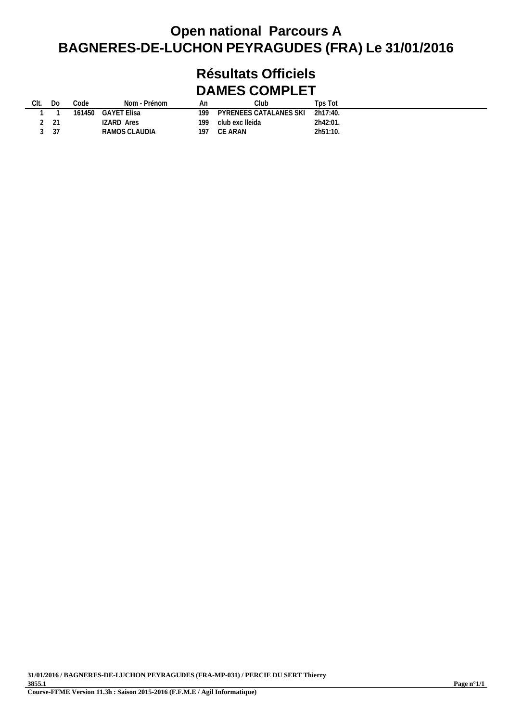### **Résultats Officiels DAMES COMPLET**

| Clt. | DΟ   | Code | Nom - Prénom       | An  | Club                            | Tps Tot  |  |
|------|------|------|--------------------|-----|---------------------------------|----------|--|
|      |      |      | 161450 GAYET Elisa | 199 | PYRENEES CATALANES SKI 2h17:40. |          |  |
|      | 2 21 |      | IZARD Ares         | 199 | club exc lleida                 | 2h42:01. |  |
|      | 3 37 |      | RAMOS CLAUDIA      | 197 | CE ARAN                         | 2h51:10. |  |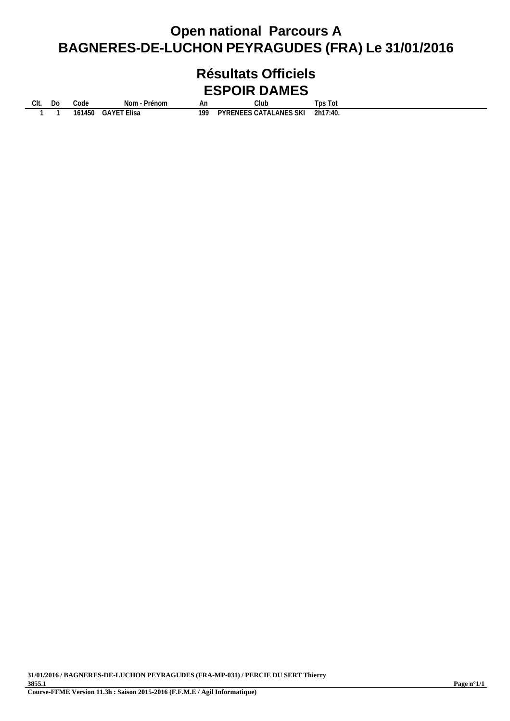### **Résultats Officiels ESPOIR DAMES**

**Clt. Do Code Nom - Prénom An Club Tps Tot 1 1 161450 GAYET Elisa 199 PYRENEES CATALANES SKI 2h17:40.**

**31/01/2016 / BAGNERES-DE-LUCHON PEYRAGUDES (FRA-MP-031) / PERCIE DU SERT Thierry 3855.1 Course-FFME Version 11.3h : Saison 2015-2016 (F.F.M.E / Agil Informatique)**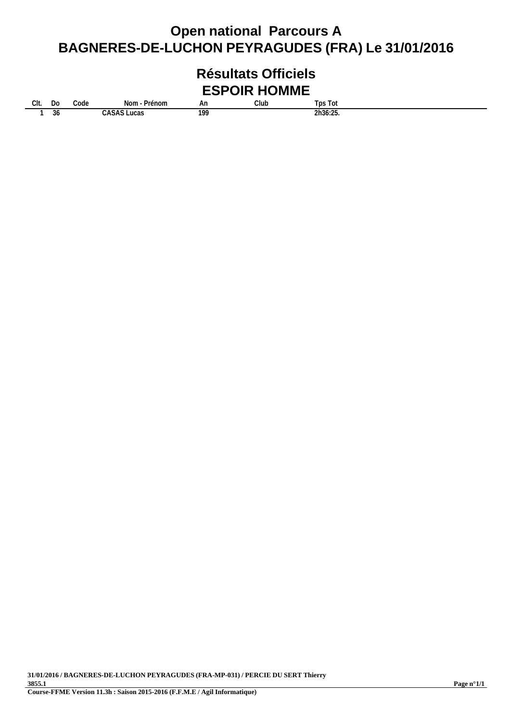#### **Résultats Officiels ESPOIR HOMME**

**Clt. Do Code Nom - Prénom An Club Tps Tot**

**1 36 CASAS Lucas 199 2h36:25.**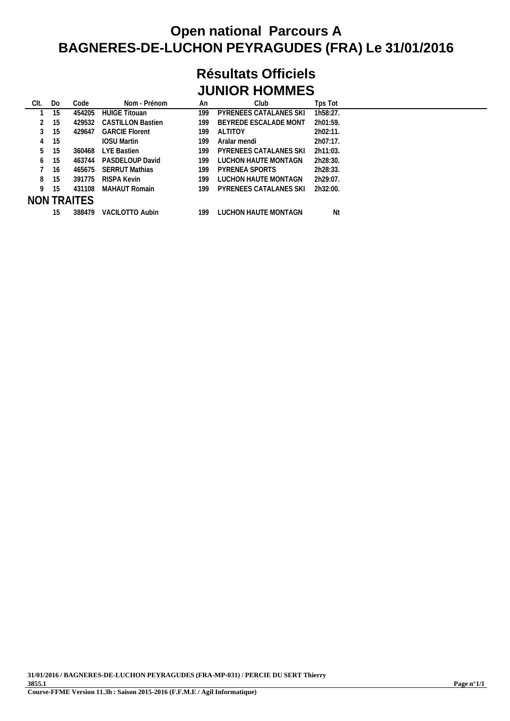### **Résultats Officiels JUNIOR HOMMES**

| Clt. | Do | Code        | Nom - Prénom             | An  | Club                   | Tps Tot  |
|------|----|-------------|--------------------------|-----|------------------------|----------|
|      | 15 | 454205      | <b>HUIGE Titouan</b>     | 199 | PYRENEES CATALANES SKI | 1h58:27. |
|      | 15 | 429532      | <b>CASTILLON Bastien</b> | 199 | BEYREDE ESCALADE MONT  | 2h01:59. |
|      | 15 | 429647      | <b>GARCIE Florent</b>    | 199 | <b>ALTITOY</b>         | 2h02:11. |
|      | 15 |             | <b>IOSU Martin</b>       | 199 | Aralar mendi           | 2h07:17. |
| 5.   | 15 | 360468      | <b>LYE Bastien</b>       | 199 | PYRENEES CATALANES SKI | 2h11:03. |
| 6    | 15 | 463744      | PASDEL OUP David         | 199 | LUCHON HAUTE MONTAGN   | 2h28:30. |
|      | 16 | 465675      | <b>SERRUT Mathias</b>    | 199 | PYRENEA SPORTS         | 2h28:33. |
| 8    | 15 | 391775      | RISPA Kevin              | 199 | LUCHON HAUTE MONTAGN   | 2h29:07. |
| 9    | 15 | 431108      | <b>MAHAUT Romain</b>     | 199 | PYRENEES CATALANES SKI | 2h32:00. |
|      |    | NON TRAITES |                          |     |                        |          |
|      | 15 | 388479      | VACILOTTO Aubin          | 199 | LUCHON HAUTE MONTAGN   | Nt       |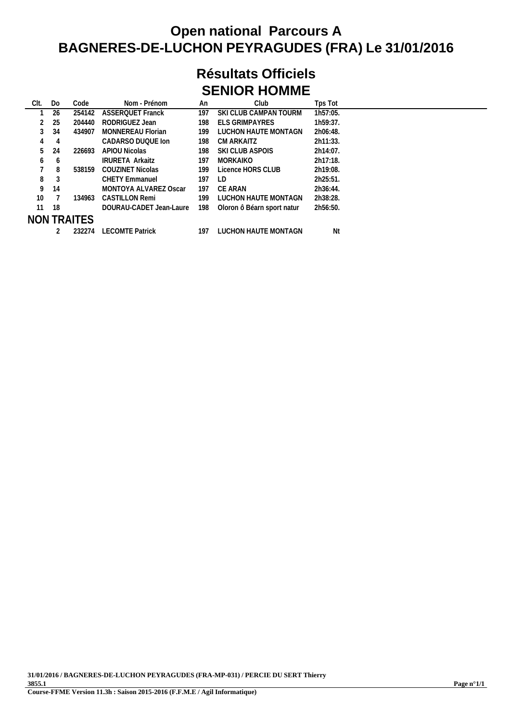### **Résultats Officiels SENIOR HOMME**

| CIt.         | Do | Code        | Nom - Prénom             | An  | Club                       | Tps Tot  |  |
|--------------|----|-------------|--------------------------|-----|----------------------------|----------|--|
|              | 26 | 254142      | <b>ASSERQUET Franck</b>  | 197 | SKI CLUB CAMPAN TOURM      | 1h57:05. |  |
|              | 25 | 204440      | RODRIGUEZ Jean           | 198 | <b>ELS GRIMPAYRES</b>      | 1h59:37. |  |
|              | 34 | 434907      | <b>MONNEREAU Florian</b> | 199 | LUCHON HAUTE MONTAGN       | 2h06:48. |  |
| 4            | 4  |             | CADARSO DUQUE Ion        | 198 | CM ARKAITZ                 | 2h11:33. |  |
| 5            | 24 | 226693      | APIOU Nicolas            | 198 | SKI CLUB ASPOIS            | 2h14:07. |  |
| <sub>6</sub> | 6  |             | <b>IRURETA Arkaitz</b>   | 197 | <b>MORKAIKO</b>            | 2h17:18. |  |
|              | 8  | 538159      | COUZINET Nicolas         | 199 | Licence HORS CLUB          | 2h19:08. |  |
| 8            | 3  |             | <b>CHETY Emmanuel</b>    | 197 | LD                         | 2h25:51. |  |
| 9            | 14 |             | MONTOYA ALVAREZ Oscar    | 197 | CE ARAN                    | 2h36:44. |  |
| 10           |    | 134963      | <b>CASTILLON Remi</b>    | 199 | LUCHON HAUTE MONTAGN       | 2h38:28. |  |
| 11           | 18 |             | DOURAU-CADET Jean-Laure  | 198 | Oloron ô Béarn sport natur | 2h56:50. |  |
|              |    | NON TRAITES |                          |     |                            |          |  |
|              |    | 232274      | <b>LECOMTE Patrick</b>   | 197 | LUCHON HAUTE MONTAGN       | Nt       |  |